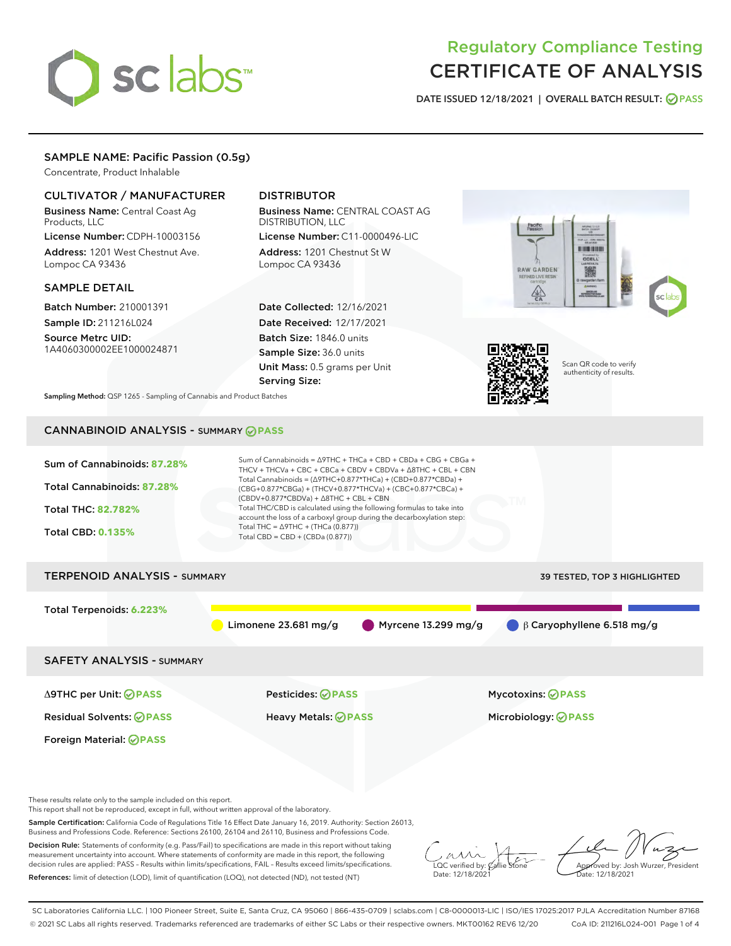# sclabs<sup>\*</sup>

# Regulatory Compliance Testing CERTIFICATE OF ANALYSIS

DATE ISSUED 12/18/2021 | OVERALL BATCH RESULT: @ PASS

# SAMPLE NAME: Pacific Passion (0.5g)

Concentrate, Product Inhalable

# CULTIVATOR / MANUFACTURER

Business Name: Central Coast Ag Products, LLC

License Number: CDPH-10003156 Address: 1201 West Chestnut Ave. Lompoc CA 93436

# SAMPLE DETAIL

Batch Number: 210001391 Sample ID: 211216L024

Source Metrc UID: 1A4060300002EE1000024871

# DISTRIBUTOR

Business Name: CENTRAL COAST AG DISTRIBUTION, LLC

License Number: C11-0000496-LIC Address: 1201 Chestnut St W Lompoc CA 93436

Date Collected: 12/16/2021 Date Received: 12/17/2021 Batch Size: 1846.0 units Sample Size: 36.0 units Unit Mass: 0.5 grams per Unit Serving Size:





Scan QR code to verify authenticity of results.

Sampling Method: QSP 1265 - Sampling of Cannabis and Product Batches

# CANNABINOID ANALYSIS - SUMMARY **PASS**

| Sum of Cannabinoids: 87.28%<br>Total Cannabinoids: 87.28%<br><b>Total THC: 82.782%</b><br><b>Total CBD: 0.135%</b> | Sum of Cannabinoids = $\triangle$ 9THC + THCa + CBD + CBDa + CBG + CBGa +<br>THCV + THCVa + CBC + CBCa + CBDV + CBDVa + $\Delta$ 8THC + CBL + CBN<br>Total Cannabinoids = $(\Delta$ 9THC+0.877*THCa) + (CBD+0.877*CBDa) +<br>(CBG+0.877*CBGa) + (THCV+0.877*THCVa) + (CBC+0.877*CBCa) +<br>$(CBDV+0.877*CBDVa) + \Delta 8THC + CBL + CBN$<br>Total THC/CBD is calculated using the following formulas to take into<br>account the loss of a carboxyl group during the decarboxylation step:<br>Total THC = $\triangle$ 9THC + (THCa (0.877))<br>Total CBD = CBD + (CBDa (0.877)) |                                     |  |  |  |
|--------------------------------------------------------------------------------------------------------------------|----------------------------------------------------------------------------------------------------------------------------------------------------------------------------------------------------------------------------------------------------------------------------------------------------------------------------------------------------------------------------------------------------------------------------------------------------------------------------------------------------------------------------------------------------------------------------------|-------------------------------------|--|--|--|
| <b>TERPENOID ANALYSIS - SUMMARY</b>                                                                                |                                                                                                                                                                                                                                                                                                                                                                                                                                                                                                                                                                                  | <b>39 TESTED, TOP 3 HIGHLIGHTED</b> |  |  |  |
| Total Terpenoids: 6.223%                                                                                           | Limonene $23.681$ mg/g<br>Myrcene $13.299$ mg/g                                                                                                                                                                                                                                                                                                                                                                                                                                                                                                                                  | $\beta$ Caryophyllene 6.518 mg/g    |  |  |  |
| <b>SAFETY ANALYSIS - SUMMARY</b>                                                                                   |                                                                                                                                                                                                                                                                                                                                                                                                                                                                                                                                                                                  |                                     |  |  |  |
| ∆9THC per Unit: ⊘PASS                                                                                              | <b>Pesticides: ⊘ PASS</b>                                                                                                                                                                                                                                                                                                                                                                                                                                                                                                                                                        | <b>Mycotoxins: ⊘PASS</b>            |  |  |  |
| <b>Residual Solvents: ⊘PASS</b>                                                                                    | <b>Heavy Metals: ⊘ PASS</b>                                                                                                                                                                                                                                                                                                                                                                                                                                                                                                                                                      | Microbiology: <b>OPASS</b>          |  |  |  |
| Foreign Material: <b>⊘ PASS</b>                                                                                    |                                                                                                                                                                                                                                                                                                                                                                                                                                                                                                                                                                                  |                                     |  |  |  |

These results relate only to the sample included on this report.

This report shall not be reproduced, except in full, without written approval of the laboratory.

Sample Certification: California Code of Regulations Title 16 Effect Date January 16, 2019. Authority: Section 26013, Business and Professions Code. Reference: Sections 26100, 26104 and 26110, Business and Professions Code.

Decision Rule: Statements of conformity (e.g. Pass/Fail) to specifications are made in this report without taking measurement uncertainty into account. Where statements of conformity are made in this report, the following decision rules are applied: PASS – Results within limits/specifications, FAIL – Results exceed limits/specifications. References: limit of detection (LOD), limit of quantification (LOQ), not detected (ND), not tested (NT)

 $\sim$  CC verified by:  $\mathcal{C}$ allie Date: 12/18/2021

Approved by: Josh Wurzer, President ate: 12/18/2021

SC Laboratories California LLC. | 100 Pioneer Street, Suite E, Santa Cruz, CA 95060 | 866-435-0709 | sclabs.com | C8-0000013-LIC | ISO/IES 17025:2017 PJLA Accreditation Number 87168 © 2021 SC Labs all rights reserved. Trademarks referenced are trademarks of either SC Labs or their respective owners. MKT00162 REV6 12/20 CoA ID: 211216L024-001 Page 1 of 4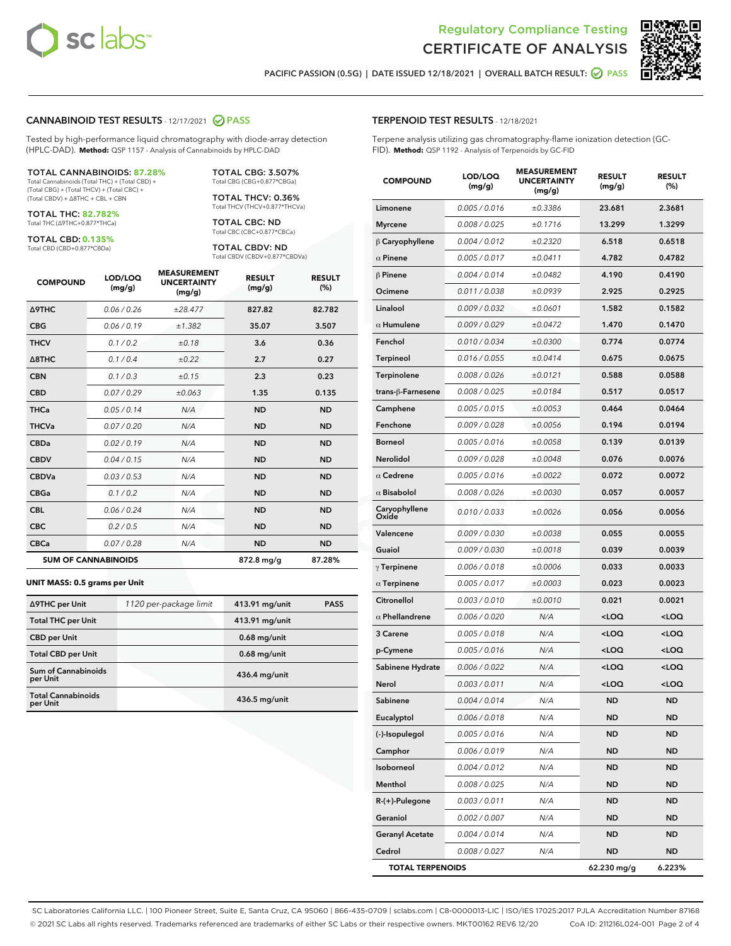



PACIFIC PASSION (0.5G) | DATE ISSUED 12/18/2021 | OVERALL BATCH RESULT:  $\bigcirc$  PASS

### CANNABINOID TEST RESULTS - 12/17/2021 2 PASS

Tested by high-performance liquid chromatography with diode-array detection (HPLC-DAD). **Method:** QSP 1157 - Analysis of Cannabinoids by HPLC-DAD

#### TOTAL CANNABINOIDS: **87.28%**

Total Cannabinoids (Total THC) + (Total CBD) + (Total CBG) + (Total THCV) + (Total CBC) + (Total CBDV) + ∆8THC + CBL + CBN

TOTAL THC: **82.782%** Total THC (∆9THC+0.877\*THCa)

TOTAL CBD: **0.135%**

Total CBD (CBD+0.877\*CBDa)

TOTAL CBG: 3.507% Total CBG (CBG+0.877\*CBGa)

TOTAL THCV: 0.36% Total THCV (THCV+0.877\*THCVa)

TOTAL CBC: ND Total CBC (CBC+0.877\*CBCa)

TOTAL CBDV: ND Total CBDV (CBDV+0.877\*CBDVa)

| <b>COMPOUND</b>            | LOD/LOQ<br>(mg/g) | <b>MEASUREMENT</b><br><b>UNCERTAINTY</b><br>(mg/g) | <b>RESULT</b><br>(mg/g) | <b>RESULT</b><br>(%) |
|----------------------------|-------------------|----------------------------------------------------|-------------------------|----------------------|
| Δ9THC                      | 0.06 / 0.26       | ±28.477                                            | 827.82                  | 82.782               |
| <b>CBG</b>                 | 0.06 / 0.19       | ±1.382                                             | 35.07                   | 3.507                |
| <b>THCV</b>                | 0.1 / 0.2         | ±0.18                                              | 3.6                     | 0.36                 |
| $\triangle$ 8THC           | 0.1/0.4           | ±0.22                                              | 2.7                     | 0.27                 |
| <b>CBN</b>                 | 0.1 / 0.3         | ±0.15                                              | 2.3                     | 0.23                 |
| <b>CBD</b>                 | 0.07/0.29         | ±0.063                                             | 1.35                    | 0.135                |
| <b>THCa</b>                | 0.05/0.14         | N/A                                                | <b>ND</b>               | <b>ND</b>            |
| <b>THCVa</b>               | 0.07/0.20         | N/A                                                | <b>ND</b>               | <b>ND</b>            |
| <b>CBDa</b>                | 0.02/0.19         | N/A                                                | <b>ND</b>               | <b>ND</b>            |
| <b>CBDV</b>                | 0.04 / 0.15       | N/A                                                | <b>ND</b>               | <b>ND</b>            |
| <b>CBDVa</b>               | 0.03/0.53         | N/A                                                | <b>ND</b>               | <b>ND</b>            |
| <b>CBGa</b>                | 0.1/0.2           | N/A                                                | <b>ND</b>               | <b>ND</b>            |
| <b>CBL</b>                 | 0.06 / 0.24       | N/A                                                | <b>ND</b>               | <b>ND</b>            |
| <b>CBC</b>                 | 0.2 / 0.5         | N/A                                                | <b>ND</b>               | <b>ND</b>            |
| <b>CBCa</b>                | 0.07 / 0.28       | N/A                                                | <b>ND</b>               | <b>ND</b>            |
| <b>SUM OF CANNABINOIDS</b> |                   |                                                    | 872.8 mg/g              | 87.28%               |

#### **UNIT MASS: 0.5 grams per Unit**

| ∆9THC per Unit                        | 1120 per-package limit | 413.91 mg/unit | <b>PASS</b> |
|---------------------------------------|------------------------|----------------|-------------|
| <b>Total THC per Unit</b>             |                        | 413.91 mg/unit |             |
| <b>CBD</b> per Unit                   |                        | $0.68$ mg/unit |             |
| <b>Total CBD per Unit</b>             |                        | $0.68$ mg/unit |             |
| Sum of Cannabinoids<br>per Unit       |                        | 436.4 mg/unit  |             |
| <b>Total Cannabinoids</b><br>per Unit |                        | 436.5 mg/unit  |             |

| <b>COMPOUND</b>         | LOD/LOQ<br>(mg/g) | <b>MEASUREMENT</b><br><b>UNCERTAINTY</b><br>(mg/g) | <b>RESULT</b><br>(mg/g)                         | <b>RESULT</b><br>$(\%)$ |
|-------------------------|-------------------|----------------------------------------------------|-------------------------------------------------|-------------------------|
| Limonene                | 0.005 / 0.016     | ±0.3386                                            | 23.681                                          | 2.3681                  |
| <b>Myrcene</b>          | 0.008 / 0.025     | ±0.1716                                            | 13.299                                          | 1.3299                  |
| $\beta$ Caryophyllene   | 0.004 / 0.012     | ±0.2320                                            | 6.518                                           | 0.6518                  |
| $\alpha$ Pinene         | 0.005 / 0.017     | ±0.0411                                            | 4.782                                           | 0.4782                  |
| $\beta$ Pinene          | 0.004 / 0.014     | ±0.0482                                            | 4.190                                           | 0.4190                  |
| Ocimene                 | 0.011 / 0.038     | ±0.0939                                            | 2.925                                           | 0.2925                  |
| Linalool                | 0.009 / 0.032     | ±0.0601                                            | 1.582                                           | 0.1582                  |
| $\alpha$ Humulene       | 0.009 / 0.029     | ±0.0472                                            | 1.470                                           | 0.1470                  |
| Fenchol                 | 0.010 / 0.034     | ±0.0300                                            | 0.774                                           | 0.0774                  |
| Terpineol               | 0.016 / 0.055     | ±0.0414                                            | 0.675                                           | 0.0675                  |
| Terpinolene             | 0.008 / 0.026     | ±0.0121                                            | 0.588                                           | 0.0588                  |
| trans-β-Farnesene       | 0.008 / 0.025     | ±0.0184                                            | 0.517                                           | 0.0517                  |
| Camphene                | 0.005 / 0.015     | ±0.0053                                            | 0.464                                           | 0.0464                  |
| Fenchone                | 0.009 / 0.028     | ±0.0056                                            | 0.194                                           | 0.0194                  |
| <b>Borneol</b>          | 0.005 / 0.016     | ±0.0058                                            | 0.139                                           | 0.0139                  |
| Nerolidol               | 0.009 / 0.028     | ±0.0048                                            | 0.076                                           | 0.0076                  |
| $\alpha$ Cedrene        | 0.005 / 0.016     | ±0.0022                                            | 0.072                                           | 0.0072                  |
| $\alpha$ Bisabolol      | 0.008 / 0.026     | ±0.0030                                            | 0.057                                           | 0.0057                  |
| Caryophyllene<br>Oxide  | 0.010 / 0.033     | ±0.0026                                            | 0.056                                           | 0.0056                  |
| Valencene               | 0.009 / 0.030     | ±0.0038                                            | 0.055                                           | 0.0055                  |
| Guaiol                  | 0.009 / 0.030     | ±0.0018                                            | 0.039                                           | 0.0039                  |
| $\gamma$ Terpinene      | 0.006 / 0.018     | ±0.0006                                            | 0.033                                           | 0.0033                  |
| $\alpha$ Terpinene      | 0.005 / 0.017     | ±0.0003                                            | 0.023                                           | 0.0023                  |
| Citronellol             | 0.003 / 0.010     | ±0.0010                                            | 0.021                                           | 0.0021                  |
| $\alpha$ Phellandrene   | 0.006 / 0.020     | N/A                                                | <loq< th=""><th><loq< th=""></loq<></th></loq<> | <loq< th=""></loq<>     |
| 3 Carene                | 0.005 / 0.018     | N/A                                                | <loq< th=""><th><loq< th=""></loq<></th></loq<> | <loq< th=""></loq<>     |
| p-Cymene                | 0.005 / 0.016     | N/A                                                | <loq< th=""><th><loq< th=""></loq<></th></loq<> | <loq< th=""></loq<>     |
| Sabinene Hydrate        | 0.006 / 0.022     | N/A                                                | <loq< th=""><th><loq< th=""></loq<></th></loq<> | <loq< th=""></loq<>     |
| Nerol                   | 0.003 / 0.011     | N/A                                                | <loq< th=""><th><loq< th=""></loq<></th></loq<> | <loq< th=""></loq<>     |
| Sabinene                | 0.004 / 0.014     | N/A                                                | <b>ND</b>                                       | <b>ND</b>               |
| Eucalyptol              | 0.006 / 0.018     | N/A                                                | ND                                              | ND                      |
| (-)-Isopulegol          | 0.005 / 0.016     | N/A                                                | ND                                              | <b>ND</b>               |
| Camphor                 | 0.006 / 0.019     | N/A                                                | ND                                              | ND                      |
| Isoborneol              | 0.004 / 0.012     | N/A                                                | ND                                              | ND                      |
| Menthol                 | 0.008 / 0.025     | N/A                                                | ND                                              | <b>ND</b>               |
| R-(+)-Pulegone          | 0.003 / 0.011     | N/A                                                | ND                                              | ND                      |
| Geraniol                | 0.002 / 0.007     | N/A                                                | ND                                              | ND                      |
| <b>Geranyl Acetate</b>  | 0.004 / 0.014     | N/A                                                | ND                                              | <b>ND</b>               |
| Cedrol                  | 0.008 / 0.027     | N/A                                                | ND                                              | ND                      |
| <b>TOTAL TERPENOIDS</b> |                   |                                                    | 62.230 mg/g                                     | 6.223%                  |

SC Laboratories California LLC. | 100 Pioneer Street, Suite E, Santa Cruz, CA 95060 | 866-435-0709 | sclabs.com | C8-0000013-LIC | ISO/IES 17025:2017 PJLA Accreditation Number 87168 © 2021 SC Labs all rights reserved. Trademarks referenced are trademarks of either SC Labs or their respective owners. MKT00162 REV6 12/20 CoA ID: 211216L024-001 Page 2 of 4

# TERPENOID TEST RESULTS - 12/18/2021

Terpene analysis utilizing gas chromatography-flame ionization detection (GC-FID). **Method:** QSP 1192 - Analysis of Terpenoids by GC-FID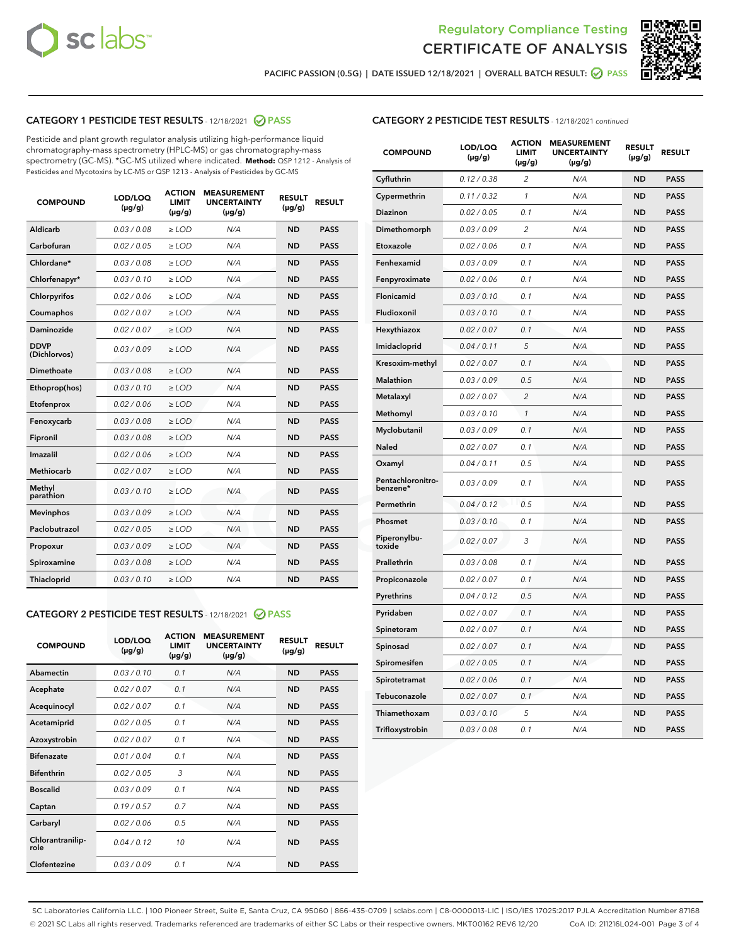



PACIFIC PASSION (0.5G) | DATE ISSUED 12/18/2021 | OVERALL BATCH RESULT: ☑ PASS

# CATEGORY 1 PESTICIDE TEST RESULTS - 12/18/2021 @ PASS

Pesticide and plant growth regulator analysis utilizing high-performance liquid chromatography-mass spectrometry (HPLC-MS) or gas chromatography-mass spectrometry (GC-MS). \*GC-MS utilized where indicated. **Method:** QSP 1212 - Analysis of Pesticides and Mycotoxins by LC-MS or QSP 1213 - Analysis of Pesticides by GC-MS

| <b>COMPOUND</b>             | LOD/LOQ<br>$(\mu g/g)$ | <b>ACTION</b><br><b>LIMIT</b><br>$(\mu g/g)$ | <b>MEASUREMENT</b><br><b>UNCERTAINTY</b><br>$(\mu g/g)$ | <b>RESULT</b><br>$(\mu g/g)$ | <b>RESULT</b> |
|-----------------------------|------------------------|----------------------------------------------|---------------------------------------------------------|------------------------------|---------------|
| Aldicarb                    | 0.03 / 0.08            | $\ge$ LOD                                    | N/A                                                     | <b>ND</b>                    | <b>PASS</b>   |
| Carbofuran                  | 0.02/0.05              | $\ge$ LOD                                    | N/A                                                     | <b>ND</b>                    | <b>PASS</b>   |
| Chlordane*                  | 0.03 / 0.08            | $\ge$ LOD                                    | N/A                                                     | <b>ND</b>                    | <b>PASS</b>   |
| Chlorfenapyr*               | 0.03/0.10              | $\ge$ LOD                                    | N/A                                                     | <b>ND</b>                    | <b>PASS</b>   |
| Chlorpyrifos                | 0.02 / 0.06            | $\ge$ LOD                                    | N/A                                                     | <b>ND</b>                    | <b>PASS</b>   |
| Coumaphos                   | 0.02 / 0.07            | $>$ LOD                                      | N/A                                                     | <b>ND</b>                    | <b>PASS</b>   |
| Daminozide                  | 0.02 / 0.07            | $\ge$ LOD                                    | N/A                                                     | <b>ND</b>                    | <b>PASS</b>   |
| <b>DDVP</b><br>(Dichlorvos) | 0.03/0.09              | $\ge$ LOD                                    | N/A                                                     | <b>ND</b>                    | <b>PASS</b>   |
| Dimethoate                  | 0.03 / 0.08            | $>$ LOD                                      | N/A                                                     | <b>ND</b>                    | <b>PASS</b>   |
| Ethoprop(hos)               | 0.03/0.10              | $\ge$ LOD                                    | N/A                                                     | <b>ND</b>                    | <b>PASS</b>   |
| Etofenprox                  | 0.02 / 0.06            | $\ge$ LOD                                    | N/A                                                     | <b>ND</b>                    | <b>PASS</b>   |
| Fenoxycarb                  | 0.03 / 0.08            | $>$ LOD                                      | N/A                                                     | <b>ND</b>                    | <b>PASS</b>   |
| Fipronil                    | 0.03/0.08              | $\ge$ LOD                                    | N/A                                                     | <b>ND</b>                    | <b>PASS</b>   |
| Imazalil                    | 0.02 / 0.06            | $>$ LOD                                      | N/A                                                     | <b>ND</b>                    | <b>PASS</b>   |
| Methiocarb                  | 0.02 / 0.07            | $\ge$ LOD                                    | N/A                                                     | <b>ND</b>                    | <b>PASS</b>   |
| Methyl<br>parathion         | 0.03/0.10              | $\ge$ LOD                                    | N/A                                                     | <b>ND</b>                    | <b>PASS</b>   |
| <b>Mevinphos</b>            | 0.03/0.09              | $\ge$ LOD                                    | N/A                                                     | <b>ND</b>                    | <b>PASS</b>   |
| Paclobutrazol               | 0.02 / 0.05            | $\ge$ LOD                                    | N/A                                                     | <b>ND</b>                    | <b>PASS</b>   |
| Propoxur                    | 0.03/0.09              | $\ge$ LOD                                    | N/A                                                     | <b>ND</b>                    | <b>PASS</b>   |
| Spiroxamine                 | 0.03 / 0.08            | $\ge$ LOD                                    | N/A                                                     | <b>ND</b>                    | <b>PASS</b>   |
| Thiacloprid                 | 0.03/0.10              | $\ge$ LOD                                    | N/A                                                     | <b>ND</b>                    | <b>PASS</b>   |

#### CATEGORY 2 PESTICIDE TEST RESULTS - 12/18/2021 @ PASS

| <b>COMPOUND</b>          | LOD/LOO<br>$(\mu g/g)$ | <b>ACTION</b><br>LIMIT<br>$(\mu g/g)$ | <b>MEASUREMENT</b><br><b>UNCERTAINTY</b><br>$(\mu g/g)$ | <b>RESULT</b><br>$(\mu g/g)$ | <b>RESULT</b> |  |
|--------------------------|------------------------|---------------------------------------|---------------------------------------------------------|------------------------------|---------------|--|
| Abamectin                | 0.03/0.10              | 0.1                                   | N/A                                                     | <b>ND</b>                    | <b>PASS</b>   |  |
| Acephate                 | 0.02/0.07              | 0.1                                   | N/A                                                     | <b>ND</b>                    | <b>PASS</b>   |  |
| Acequinocyl              | 0.02/0.07              | 0.1                                   | N/A                                                     | <b>ND</b>                    | <b>PASS</b>   |  |
| Acetamiprid              | 0.02 / 0.05            | 0.1                                   | N/A                                                     | <b>ND</b>                    | <b>PASS</b>   |  |
| Azoxystrobin             | 0.02/0.07              | 0.1                                   | N/A                                                     | <b>ND</b>                    | <b>PASS</b>   |  |
| <b>Bifenazate</b>        | 0.01 / 0.04            | 0.1                                   | N/A                                                     | <b>ND</b>                    | <b>PASS</b>   |  |
| <b>Bifenthrin</b>        | 0.02 / 0.05            | 3                                     | N/A                                                     | <b>ND</b>                    | <b>PASS</b>   |  |
| <b>Boscalid</b>          | 0.03/0.09              | 0.1                                   | N/A                                                     | <b>ND</b>                    | <b>PASS</b>   |  |
| Captan                   | 0.19/0.57              | 0.7                                   | N/A                                                     | <b>ND</b>                    | <b>PASS</b>   |  |
| Carbaryl                 | 0.02/0.06              | 0.5                                   | N/A                                                     | <b>ND</b>                    | <b>PASS</b>   |  |
| Chlorantranilip-<br>role | 0.04/0.12              | 10                                    | N/A                                                     | <b>ND</b>                    | <b>PASS</b>   |  |
| Clofentezine             | 0.03/0.09              | 0.1                                   | N/A                                                     | <b>ND</b>                    | <b>PASS</b>   |  |

# CATEGORY 2 PESTICIDE TEST RESULTS - 12/18/2021 continued

| <b>COMPOUND</b>               | LOD/LOQ<br>(µg/g) | <b>ACTION</b><br><b>LIMIT</b><br>$(\mu g/g)$ | <b>MEASUREMENT</b><br><b>UNCERTAINTY</b><br>$(\mu g/g)$ | <b>RESULT</b><br>(µg/g) | <b>RESULT</b> |
|-------------------------------|-------------------|----------------------------------------------|---------------------------------------------------------|-------------------------|---------------|
| Cyfluthrin                    | 0.12 / 0.38       | $\overline{c}$                               | N/A                                                     | ND                      | <b>PASS</b>   |
| Cypermethrin                  | 0.11 / 0.32       | $\mathcal{I}$                                | N/A                                                     | ND                      | <b>PASS</b>   |
| Diazinon                      | 0.02 / 0.05       | 0.1                                          | N/A                                                     | <b>ND</b>               | <b>PASS</b>   |
| Dimethomorph                  | 0.03 / 0.09       | 2                                            | N/A                                                     | ND                      | <b>PASS</b>   |
| Etoxazole                     | 0.02 / 0.06       | 0.1                                          | N/A                                                     | ND                      | <b>PASS</b>   |
| Fenhexamid                    | 0.03 / 0.09       | 0.1                                          | N/A                                                     | <b>ND</b>               | <b>PASS</b>   |
| Fenpyroximate                 | 0.02 / 0.06       | 0.1                                          | N/A                                                     | ND                      | <b>PASS</b>   |
| Flonicamid                    | 0.03 / 0.10       | 0.1                                          | N/A                                                     | ND                      | <b>PASS</b>   |
| Fludioxonil                   | 0.03 / 0.10       | 0.1                                          | N/A                                                     | ND                      | <b>PASS</b>   |
| Hexythiazox                   | 0.02 / 0.07       | 0.1                                          | N/A                                                     | ND                      | <b>PASS</b>   |
| Imidacloprid                  | 0.04 / 0.11       | 5                                            | N/A                                                     | ND                      | <b>PASS</b>   |
| Kresoxim-methyl               | 0.02 / 0.07       | 0.1                                          | N/A                                                     | ND                      | <b>PASS</b>   |
| <b>Malathion</b>              | 0.03 / 0.09       | 0.5                                          | N/A                                                     | ND                      | <b>PASS</b>   |
| Metalaxyl                     | 0.02 / 0.07       | $\overline{c}$                               | N/A                                                     | ND                      | <b>PASS</b>   |
| Methomyl                      | 0.03 / 0.10       | 1                                            | N/A                                                     | <b>ND</b>               | <b>PASS</b>   |
| Myclobutanil                  | 0.03 / 0.09       | 0.1                                          | N/A                                                     | ND                      | <b>PASS</b>   |
| Naled                         | 0.02 / 0.07       | 0.1                                          | N/A                                                     | ND                      | <b>PASS</b>   |
| Oxamyl                        | 0.04 / 0.11       | 0.5                                          | N/A                                                     | ND                      | <b>PASS</b>   |
| Pentachloronitro-<br>benzene* | 0.03 / 0.09       | 0.1                                          | N/A                                                     | ND                      | <b>PASS</b>   |
| Permethrin                    | 0.04 / 0.12       | 0.5                                          | N/A                                                     | ND                      | <b>PASS</b>   |
| Phosmet                       | 0.03 / 0.10       | 0.1                                          | N/A                                                     | ND                      | <b>PASS</b>   |
| Piperonylbu-<br>toxide        | 0.02 / 0.07       | 3                                            | N/A                                                     | ND                      | <b>PASS</b>   |
| Prallethrin                   | 0.03 / 0.08       | 0.1                                          | N/A                                                     | ND                      | <b>PASS</b>   |
| Propiconazole                 | 0.02 / 0.07       | 0.1                                          | N/A                                                     | ND                      | <b>PASS</b>   |
| Pyrethrins                    | 0.04 / 0.12       | 0.5                                          | N/A                                                     | ND                      | <b>PASS</b>   |
| Pyridaben                     | 0.02 / 0.07       | 0.1                                          | N/A                                                     | ND                      | <b>PASS</b>   |
| Spinetoram                    | 0.02 / 0.07       | 0.1                                          | N/A                                                     | ND                      | <b>PASS</b>   |
| Spinosad                      | 0.02 / 0.07       | 0.1                                          | N/A                                                     | ND                      | <b>PASS</b>   |
| Spiromesifen                  | 0.02 / 0.05       | 0.1                                          | N/A                                                     | <b>ND</b>               | <b>PASS</b>   |
| Spirotetramat                 | 0.02 / 0.06       | 0.1                                          | N/A                                                     | ND                      | <b>PASS</b>   |
| Tebuconazole                  | 0.02 / 0.07       | 0.1                                          | N/A                                                     | ND                      | <b>PASS</b>   |
| Thiamethoxam                  | 0.03 / 0.10       | 5                                            | N/A                                                     | ND                      | <b>PASS</b>   |
| Trifloxystrobin               | 0.03 / 0.08       | 0.1                                          | N/A                                                     | <b>ND</b>               | <b>PASS</b>   |

SC Laboratories California LLC. | 100 Pioneer Street, Suite E, Santa Cruz, CA 95060 | 866-435-0709 | sclabs.com | C8-0000013-LIC | ISO/IES 17025:2017 PJLA Accreditation Number 87168 © 2021 SC Labs all rights reserved. Trademarks referenced are trademarks of either SC Labs or their respective owners. MKT00162 REV6 12/20 CoA ID: 211216L024-001 Page 3 of 4